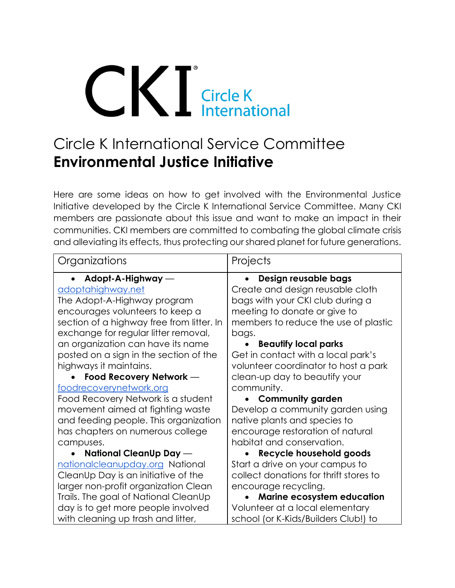# **CICIER Circle K**<br> **Circle K**<br> **International**

# Circle K International Service Committee **Environmental Justice Initiative**

Here are some ideas on how to get involved with the Environmental Justice Initiative developed by the Circle K International Service Committee. Many CKI members are passionate about this issue and want to make an impact in their communities. CKI members are committed to combating the global climate crisis and alleviating its effects, thus protecting our shared planet for future generations.

| Organizations                             | Projects                               |
|-------------------------------------------|----------------------------------------|
| Adopt-A-Highway —                         | Design reusable bags                   |
| <u>adoptahighway.net</u>                  | Create and design reusable cloth       |
| The Adopt-A-Highway program               | bags with your CKI club during a       |
| encourages volunteers to keep a           | meeting to donate or give to           |
| section of a highway free from litter. In | members to reduce the use of plastic   |
| exchange for regular litter removal,      | bags.                                  |
| an organization can have its name         | <b>Beautify local parks</b>            |
| posted on a sign in the section of the    | Get in contact with a local park's     |
| highways it maintains.                    | volunteer coordinator to host a park   |
| Food Recovery Network -                   | clean-up day to beautify your          |
| foodrecoverynetwork.org                   | community.                             |
| Food Recovery Network is a student        | <b>Community garden</b>                |
| movement aimed at fighting waste          | Develop a community garden using       |
| and feeding people. This organization     | native plants and species to           |
| has chapters on numerous college          | encourage restoration of natural       |
| campuses.                                 | habitat and conservation.              |
| National CleanUp Day -                    | Recycle household goods                |
| nationalcleanupday.org National           | Start a drive on your campus to        |
| CleanUp Day is an initiative of the       | collect donations for thrift stores to |
| larger non-profit organization Clean      | encourage recycling.                   |
| Trails. The goal of National CleanUp      | Marine ecosystem education             |
| day is to get more people involved        | Volunteer at a local elementary        |
| with cleaning up trash and litter,        | school (or K-Kids/Builders Club!) to   |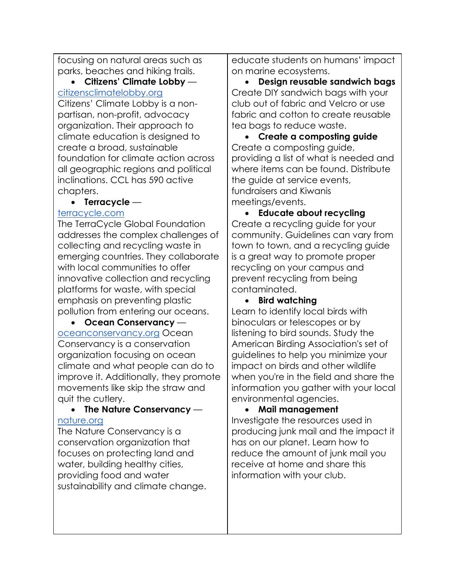focusing on natural areas such as parks, beaches and hiking trails.

• **Citizens' Climate Lobby** [citizensclimatelobby.org](https://citizensclimatelobby.org/)

Citizens' Climate Lobby is a nonpartisan, non-profit, advocacy organization. Their approach to climate education is designed to create a broad, sustainable foundation for climate action across all geographic regions and political inclinations. CCL has 590 active chapters.

#### • **Terracycle** —

#### [terracycle.com](https://www.terracycle.com/)

The TerraCycle Global Foundation addresses the complex challenges of collecting and recycling waste in emerging countries. They collaborate with local communities to offer innovative collection and recycling platforms for waste, with special emphasis on preventing plastic pollution from entering our oceans.

• **Ocean Conservancy** [oceanconservancy.org](https://oceanconservancy.org/) Ocean Conservancy is a conservation organization focusing on ocean climate and what people can do to improve it. Additionally, they promote movements like skip the straw and quit the cutlery.

#### • **The Nature Conservancy** [nature.org](https://www.nature.org/)

The Nature Conservancy is a conservation organization that focuses on protecting land and water, building healthy cities, providing food and water sustainability and climate change. educate students on humans' impact on marine ecosystems.

• **Design reusable sandwich bags**  Create DIY sandwich bags with your club out of fabric and Velcro or use fabric and cotton to create reusable tea bags to reduce waste.

• **Create a composting guide** Create a composting guide, providing a list of what is needed and where items can be found. Distribute the quide at service events, fundraisers and Kiwanis meetings/events.

• **Educate about recycling** Create a recycling guide for your community. Guidelines can vary from town to town, and a recycling guide is a great way to promote proper recycling on your campus and prevent recycling from being contaminated.

## • **Bird watching**

Learn to identify local birds with binoculars or telescopes or by listening to bird sounds. Study the American Birding Association's set of guidelines to help you minimize your impact on birds and other wildlife when you're in the field and share the information you gather with your local environmental agencies.

## • **Mail management**

Investigate the resources used in producing junk mail and the impact it has on our planet. Learn how to reduce the amount of junk mail you receive at home and share this information with your club.